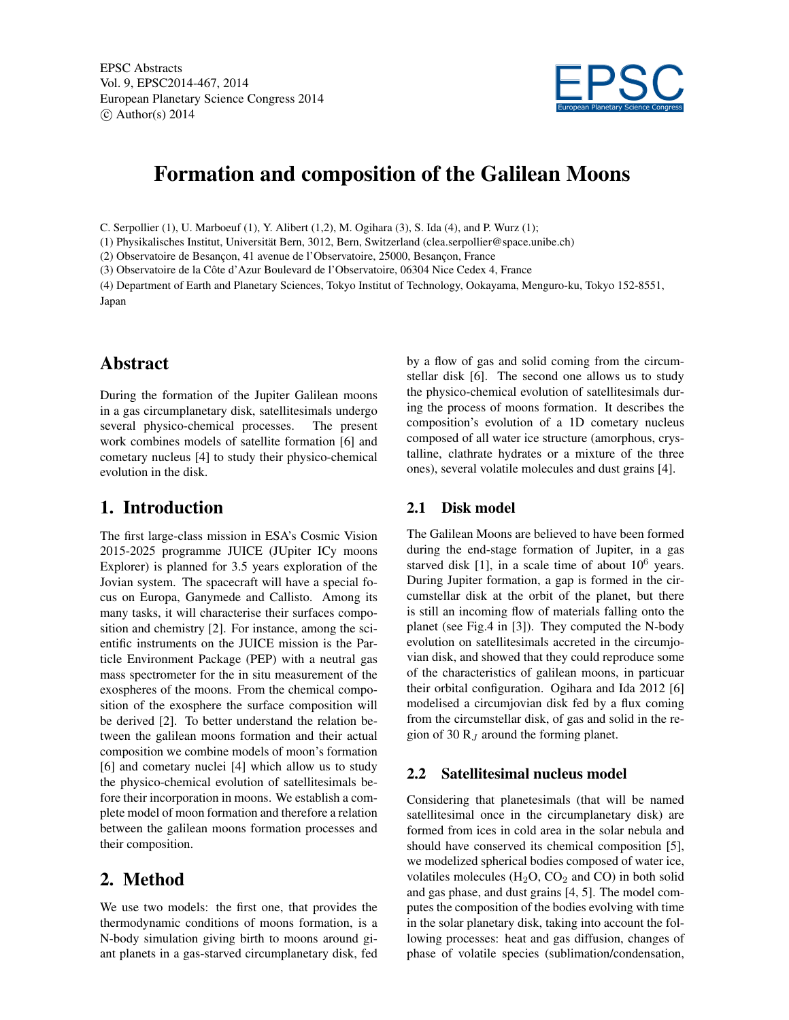EPSC Abstracts Vol. 9, EPSC2014-467, 2014 European Planetary Science Congress 2014  $\circ$  Author(s) 2014



# Formation and composition of the Galilean Moons

C. Serpollier (1), U. Marboeuf (1), Y. Alibert (1,2), M. Ogihara (3), S. Ida (4), and P. Wurz (1);

(1) Physikalisches Institut, Universität Bern, 3012, Bern, Switzerland (clea.serpollier@space.unibe.ch)

(2) Observatoire de Besançon, 41 avenue de l'Observatoire, 25000, Besançon, France

(3) Observatoire de la Côte d'Azur Boulevard de l'Observatoire, 06304 Nice Cedex 4, France

(4) Department of Earth and Planetary Sciences, Tokyo Institut of Technology, Ookayama, Menguro-ku, Tokyo 152-8551, Japan

# **Abstract**

During the formation of the Jupiter Galilean moons in a gas circumplanetary disk, satellitesimals undergo several physico-chemical processes. The present work combines models of satellite formation [6] and cometary nucleus [4] to study their physico-chemical evolution in the disk.

# 1. Introduction

The first large-class mission in ESA's Cosmic Vision 2015-2025 programme JUICE (JUpiter ICy moons Explorer) is planned for 3.5 years exploration of the Jovian system. The spacecraft will have a special focus on Europa, Ganymede and Callisto. Among its many tasks, it will characterise their surfaces composition and chemistry [2]. For instance, among the scientific instruments on the JUICE mission is the Particle Environment Package (PEP) with a neutral gas mass spectrometer for the in situ measurement of the exospheres of the moons. From the chemical composition of the exosphere the surface composition will be derived [2]. To better understand the relation between the galilean moons formation and their actual composition we combine models of moon's formation [6] and cometary nuclei [4] which allow us to study the physico-chemical evolution of satellitesimals before their incorporation in moons. We establish a complete model of moon formation and therefore a relation between the galilean moons formation processes and their composition.

# 2. Method

We use two models: the first one, that provides the thermodynamic conditions of moons formation, is a N-body simulation giving birth to moons around giant planets in a gas-starved circumplanetary disk, fed by a flow of gas and solid coming from the circumstellar disk [6]. The second one allows us to study the physico-chemical evolution of satellitesimals during the process of moons formation. It describes the composition's evolution of a 1D cometary nucleus composed of all water ice structure (amorphous, crystalline, clathrate hydrates or a mixture of the three ones), several volatile molecules and dust grains [4].

#### 2.1 Disk model

The Galilean Moons are believed to have been formed during the end-stage formation of Jupiter, in a gas starved disk [1], in a scale time of about  $10^6$  years. During Jupiter formation, a gap is formed in the circumstellar disk at the orbit of the planet, but there is still an incoming flow of materials falling onto the planet (see Fig.4 in [3]). They computed the N-body evolution on satellitesimals accreted in the circumjovian disk, and showed that they could reproduce some of the characteristics of galilean moons, in particuar their orbital configuration. Ogihara and Ida 2012 [6] modelised a circumjovian disk fed by a flux coming from the circumstellar disk, of gas and solid in the region of 30  $R_J$  around the forming planet.

#### 2.2 Satellitesimal nucleus model

Considering that planetesimals (that will be named satellitesimal once in the circumplanetary disk) are formed from ices in cold area in the solar nebula and should have conserved its chemical composition [5], we modelized spherical bodies composed of water ice, volatiles molecules  $(H_2O, CO_2$  and  $CO)$  in both solid and gas phase, and dust grains [4, 5]. The model computes the composition of the bodies evolving with time in the solar planetary disk, taking into account the following processes: heat and gas diffusion, changes of phase of volatile species (sublimation/condensation,